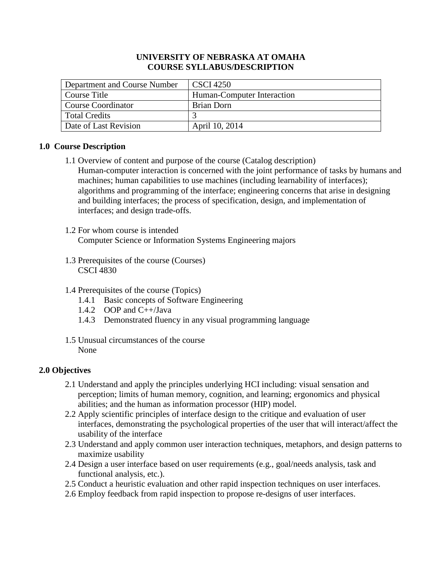## **UNIVERSITY OF NEBRASKA AT OMAHA COURSE SYLLABUS/DESCRIPTION**

| Department and Course Number | <b>CSCI</b> 4250           |
|------------------------------|----------------------------|
| Course Title                 | Human-Computer Interaction |
| <b>Course Coordinator</b>    | Brian Dorn                 |
| <b>Total Credits</b>         |                            |
| Date of Last Revision        | April 10, 2014             |

# **1.0 Course Description**

- 1.1 Overview of content and purpose of the course (Catalog description) Human-computer interaction is concerned with the joint performance of tasks by humans and machines; human capabilities to use machines (including learnability of interfaces); algorithms and programming of the interface; engineering concerns that arise in designing and building interfaces; the process of specification, design, and implementation of interfaces; and design trade-offs.
- 1.2 For whom course is intended Computer Science or Information Systems Engineering majors
- 1.3 Prerequisites of the course (Courses) CSCI 4830
- 1.4 Prerequisites of the course (Topics)
	- 1.4.1 Basic concepts of Software Engineering
	- 1.4.2 OOP and C++/Java
	- 1.4.3 Demonstrated fluency in any visual programming language
- 1.5 Unusual circumstances of the course None

# **2.0 Objectives**

- 2.1 Understand and apply the principles underlying HCI including: visual sensation and perception; limits of human memory, cognition, and learning; ergonomics and physical abilities; and the human as information processor (HIP) model.
- 2.2 Apply scientific principles of interface design to the critique and evaluation of user interfaces, demonstrating the psychological properties of the user that will interact/affect the usability of the interface
- 2.3 Understand and apply common user interaction techniques, metaphors, and design patterns to maximize usability
- 2.4 Design a user interface based on user requirements (e.g., goal/needs analysis, task and functional analysis, etc.).
- 2.5 Conduct a heuristic evaluation and other rapid inspection techniques on user interfaces.
- 2.6 Employ feedback from rapid inspection to propose re-designs of user interfaces.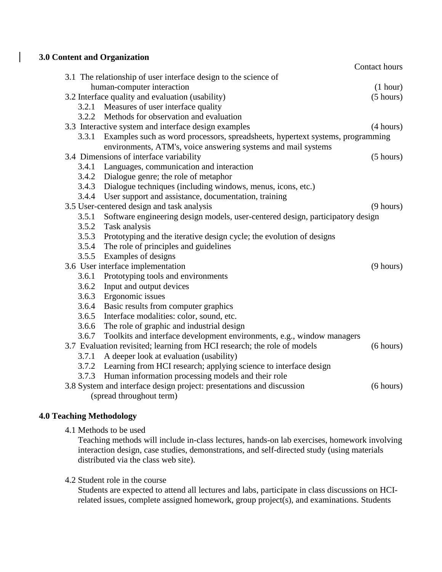| 3.0 Content and Organization |                                                                                |                     |
|------------------------------|--------------------------------------------------------------------------------|---------------------|
|                              |                                                                                | Contact hours       |
|                              | 3.1 The relationship of user interface design to the science of                |                     |
|                              | human-computer interaction                                                     | (1 hour)            |
|                              | 3.2 Interface quality and evaluation (usability)                               | (5 hours)           |
|                              | 3.2.1 Measures of user interface quality                                       |                     |
| 3.2.2                        | Methods for observation and evaluation                                         |                     |
|                              | 3.3 Interactive system and interface design examples                           | (4 hours)           |
| 3.3.1                        | Examples such as word processors, spreadsheets, hypertext systems, programming |                     |
|                              | environments, ATM's, voice answering systems and mail systems                  |                     |
|                              | 3.4 Dimensions of interface variability                                        | (5 hours)           |
|                              | 3.4.1 Languages, communication and interaction                                 |                     |
|                              | 3.4.2 Dialogue genre; the role of metaphor                                     |                     |
|                              | 3.4.3 Dialogue techniques (including windows, menus, icons, etc.)              |                     |
|                              | 3.4.4 User support and assistance, documentation, training                     |                     |
|                              | 3.5 User-centered design and task analysis                                     | $(9 \text{ hours})$ |
| 3.5.1                        | Software engineering design models, user-centered design, participatory design |                     |
|                              | 3.5.2 Task analysis                                                            |                     |
|                              | 3.5.3 Prototyping and the iterative design cycle; the evolution of designs     |                     |
|                              | 3.5.4 The role of principles and guidelines                                    |                     |
|                              | 3.5.5 Examples of designs                                                      |                     |
|                              | 3.6 User interface implementation                                              | (9 hours)           |
| 3.6.1                        | Prototyping tools and environments                                             |                     |
| 3.6.2                        | Input and output devices                                                       |                     |
|                              | 3.6.3 Ergonomic issues                                                         |                     |
|                              | 3.6.4 Basic results from computer graphics                                     |                     |
|                              | 3.6.5 Interface modalities: color, sound, etc.                                 |                     |
|                              | 3.6.6 The role of graphic and industrial design                                |                     |
| 3.6.7                        | Toolkits and interface development environments, e.g., window managers         |                     |
|                              | 3.7 Evaluation revisited; learning from HCI research; the role of models       | (6 hours)           |
| 3.7.1                        | A deeper look at evaluation (usability)                                        |                     |
|                              | 3.7.2 Learning from HCI research; applying science to interface design         |                     |
| 3.7.3                        | Human information processing models and their role                             |                     |
|                              | 3.8 System and interface design project: presentations and discussion          | (6 hours)           |
|                              | (spread throughout term)                                                       |                     |

# **4.0 Teaching Methodology**

4.1 Methods to be used

Teaching methods will include in-class lectures, hands-on lab exercises, homework involving interaction design, case studies, demonstrations, and self-directed study (using materials distributed via the class web site).

4.2 Student role in the course

Students are expected to attend all lectures and labs, participate in class discussions on HCIrelated issues, complete assigned homework, group project(s), and examinations. Students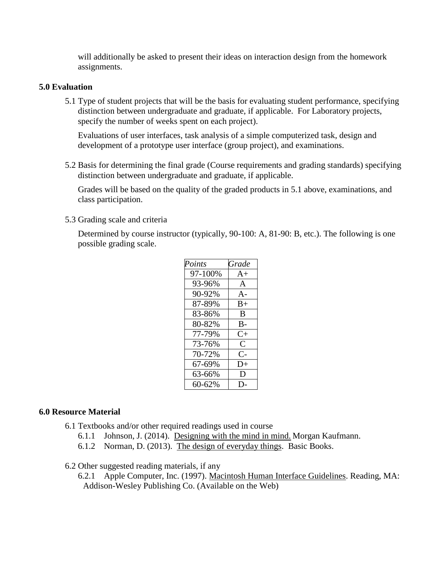will additionally be asked to present their ideas on interaction design from the homework assignments.

#### **5.0 Evaluation**

5.1 Type of student projects that will be the basis for evaluating student performance, specifying distinction between undergraduate and graduate, if applicable. For Laboratory projects, specify the number of weeks spent on each project).

Evaluations of user interfaces, task analysis of a simple computerized task, design and development of a prototype user interface (group project), and examinations.

5.2 Basis for determining the final grade (Course requirements and grading standards) specifying distinction between undergraduate and graduate, if applicable.

Grades will be based on the quality of the graded products in 5.1 above, examinations, and class participation.

5.3 Grading scale and criteria

Determined by course instructor (typically, 90-100: A, 81-90: B, etc.). The following is one possible grading scale.

| Points  | Grade        |
|---------|--------------|
| 97-100% | $A+$         |
| 93-96%  | $\mathsf{A}$ |
| 90-92%  | $A -$        |
| 87-89%  | $B+$         |
| 83-86%  | B            |
| 80-82%  | $B-$         |
| 77-79%  | $C_{\pm}$    |
| 73-76%  | C            |
| 70-72%  | C-           |
| 67-69%  | $D+$         |
| 63-66%  | D            |
| 60-62%  | D-           |

#### **6.0 Resource Material**

- 6.1 Textbooks and/or other required readings used in course
	- 6.1.1 Johnson, J. (2014). Designing with the mind in mind. Morgan Kaufmann.
	- 6.1.2 Norman, D. (2013). The design of everyday things. Basic Books.

6.2 Other suggested reading materials, if any

6.2.1 Apple Computer, Inc. (1997). Macintosh Human Interface Guidelines. Reading, MA: Addison-Wesley Publishing Co. (Available on the Web)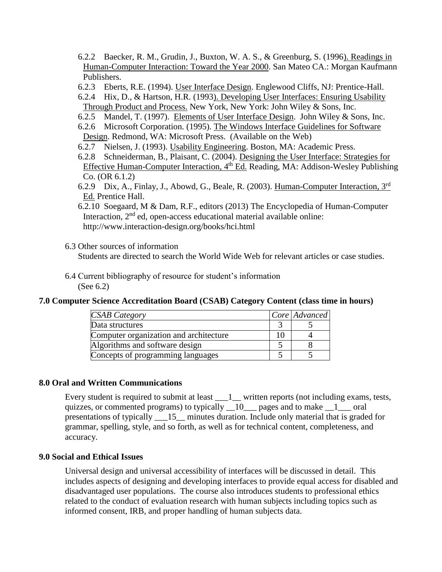- 6.2.2 Baecker, R. M., Grudin, J., Buxton, W. A. S., & Greenburg, S. (1996). Readings in Human-Computer Interaction: Toward the Year 2000. San Mateo CA.: Morgan Kaufmann Publishers.
- 6.2.3 Eberts, R.E. (1994). User Interface Design. Englewood Cliffs, NJ: Prentice-Hall.
- 6.2.4 Hix, D., & Hartson, H.R. (1993). Developing User Interfaces: Ensuring Usability Through Product and Process. New York, New York: John Wiley & Sons, Inc.
- 6.2.5 Mandel, T. (1997). Elements of User Interface Design. John Wiley & Sons, Inc.
- 6.2.6 Microsoft Corporation. (1995). The Windows Interface Guidelines for Software Design. Redmond, WA: Microsoft Press. (Available on the Web)
- 6.2.7 Nielsen, J. (1993). Usability Engineering. Boston, MA: Academic Press.
- 6.2.8 Schneiderman, B., Plaisant, C. (2004). Designing the User Interface: Strategies for Effective Human-Computer Interaction,  $4<sup>th</sup>$  Ed. Reading, MA: Addison-Wesley Publishing Co. (OR 6.1.2)
- 6.2.9 Dix, A., Finlay, J., Abowd, G., Beale, R. (2003). Human-Computer Interaction, 3rd Ed. Prentice Hall.
- 6.2.10 Soegaard, M & Dam, R.F., editors (2013) The Encyclopedia of Human-Computer Interaction,  $2<sup>nd</sup>$  ed, open-access educational material available online: http://www.interaction-design.org/books/hci.html
- 6.3 Other sources of information

Students are directed to search the World Wide Web for relevant articles or case studies.

6.4 Current bibliography of resource for student's information (See 6.2)

#### **7.0 Computer Science Accreditation Board (CSAB) Category Content (class time in hours)**

| <b>CSAB</b> Category                   |  | Core Advanced |
|----------------------------------------|--|---------------|
| Data structures                        |  |               |
| Computer organization and architecture |  |               |
| Algorithms and software design         |  |               |
| Concepts of programming languages      |  |               |

### **8.0 Oral and Written Communications**

Every student is required to submit at least \_\_\_1\_\_ written reports (not including exams, tests, quizzes, or commented programs) to typically  $\_\,\,10\_\,\,$  pages and to make  $\_\,\,1\_\,\,$  oral presentations of typically \_\_\_15\_\_ minutes duration. Include only material that is graded for grammar, spelling, style, and so forth, as well as for technical content, completeness, and accuracy.

### **9.0 Social and Ethical Issues**

Universal design and universal accessibility of interfaces will be discussed in detail. This includes aspects of designing and developing interfaces to provide equal access for disabled and disadvantaged user populations. The course also introduces students to professional ethics related to the conduct of evaluation research with human subjects including topics such as informed consent, IRB, and proper handling of human subjects data.